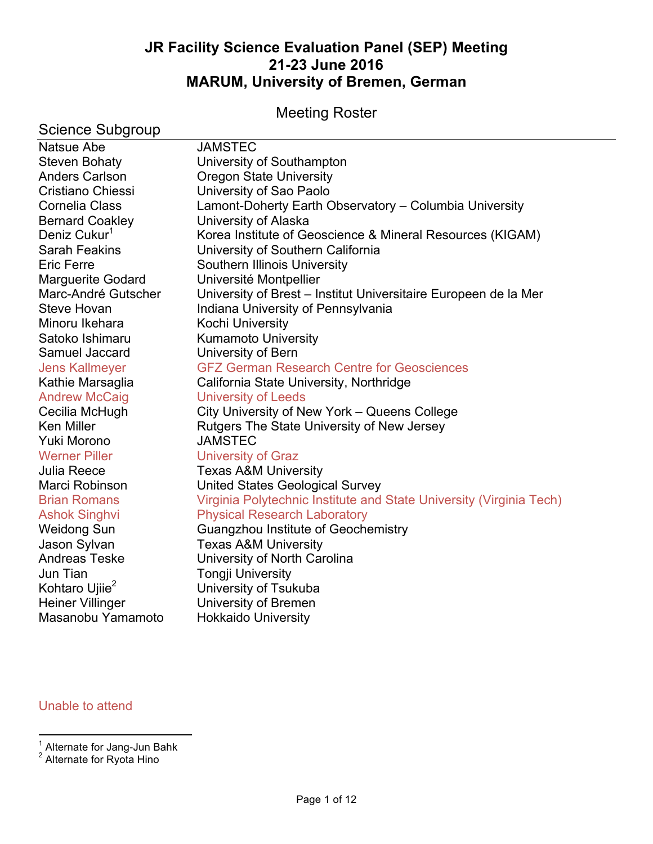# **JR Facility Science Evaluation Panel (SEP) Meeting 21-23 June 2016 MARUM, University of Bremen, German**

# Meeting Roster

| <b>JAMSTEC</b><br><b>Steven Bohaty</b><br>University of Southampton<br><b>Oregon State University</b><br>University of Sao Paolo<br>Lamont-Doherty Earth Observatory - Columbia University<br>University of Alaska<br>Deniz Cukur <sup>1</sup><br>Korea Institute of Geoscience & Mineral Resources (KIGAM)<br>University of Southern California<br>Southern Illinois University<br>Université Montpellier<br>Marc-André Gutscher<br>University of Brest - Institut Universitaire Europeen de la Mer<br>Indiana University of Pennsylvania<br>Kochi University<br><b>Kumamoto University</b><br>Satoko Ishimaru<br>University of Bern<br><b>GFZ German Research Centre for Geosciences</b><br>California State University, Northridge<br><b>University of Leeds</b><br>City University of New York – Queens College<br>Rutgers The State University of New Jersey<br><b>JAMSTEC</b><br><b>Werner Piller</b><br><b>University of Graz</b><br><b>Texas A&amp;M University</b><br><b>United States Geological Survey</b><br>Virginia Polytechnic Institute and State University (Virginia Tech)<br><b>Brian Romans</b><br><b>Physical Research Laboratory</b><br><b>Ashok Singhvi</b><br><b>Weidong Sun</b><br>Guangzhou Institute of Geochemistry<br>Jason Sylvan<br><b>Texas A&amp;M University</b><br><b>Andreas Teske</b><br>University of North Carolina<br>Jun Tian<br><b>Tongji University</b><br>Kohtaro Ujiie <sup>2</sup><br>University of Tsukuba<br><b>Heiner Villinger</b><br>University of Bremen<br>Masanobu Yamamoto<br><b>Hokkaido University</b> | <b>Science Subgroup</b>  |  |
|-----------------------------------------------------------------------------------------------------------------------------------------------------------------------------------------------------------------------------------------------------------------------------------------------------------------------------------------------------------------------------------------------------------------------------------------------------------------------------------------------------------------------------------------------------------------------------------------------------------------------------------------------------------------------------------------------------------------------------------------------------------------------------------------------------------------------------------------------------------------------------------------------------------------------------------------------------------------------------------------------------------------------------------------------------------------------------------------------------------------------------------------------------------------------------------------------------------------------------------------------------------------------------------------------------------------------------------------------------------------------------------------------------------------------------------------------------------------------------------------------------------------------------------------------------------------|--------------------------|--|
|                                                                                                                                                                                                                                                                                                                                                                                                                                                                                                                                                                                                                                                                                                                                                                                                                                                                                                                                                                                                                                                                                                                                                                                                                                                                                                                                                                                                                                                                                                                                                                 | <b>Natsue Abe</b>        |  |
|                                                                                                                                                                                                                                                                                                                                                                                                                                                                                                                                                                                                                                                                                                                                                                                                                                                                                                                                                                                                                                                                                                                                                                                                                                                                                                                                                                                                                                                                                                                                                                 |                          |  |
|                                                                                                                                                                                                                                                                                                                                                                                                                                                                                                                                                                                                                                                                                                                                                                                                                                                                                                                                                                                                                                                                                                                                                                                                                                                                                                                                                                                                                                                                                                                                                                 | <b>Anders Carlson</b>    |  |
|                                                                                                                                                                                                                                                                                                                                                                                                                                                                                                                                                                                                                                                                                                                                                                                                                                                                                                                                                                                                                                                                                                                                                                                                                                                                                                                                                                                                                                                                                                                                                                 | Cristiano Chiessi        |  |
|                                                                                                                                                                                                                                                                                                                                                                                                                                                                                                                                                                                                                                                                                                                                                                                                                                                                                                                                                                                                                                                                                                                                                                                                                                                                                                                                                                                                                                                                                                                                                                 | Cornelia Class           |  |
|                                                                                                                                                                                                                                                                                                                                                                                                                                                                                                                                                                                                                                                                                                                                                                                                                                                                                                                                                                                                                                                                                                                                                                                                                                                                                                                                                                                                                                                                                                                                                                 | <b>Bernard Coakley</b>   |  |
|                                                                                                                                                                                                                                                                                                                                                                                                                                                                                                                                                                                                                                                                                                                                                                                                                                                                                                                                                                                                                                                                                                                                                                                                                                                                                                                                                                                                                                                                                                                                                                 |                          |  |
|                                                                                                                                                                                                                                                                                                                                                                                                                                                                                                                                                                                                                                                                                                                                                                                                                                                                                                                                                                                                                                                                                                                                                                                                                                                                                                                                                                                                                                                                                                                                                                 | <b>Sarah Feakins</b>     |  |
|                                                                                                                                                                                                                                                                                                                                                                                                                                                                                                                                                                                                                                                                                                                                                                                                                                                                                                                                                                                                                                                                                                                                                                                                                                                                                                                                                                                                                                                                                                                                                                 | <b>Eric Ferre</b>        |  |
|                                                                                                                                                                                                                                                                                                                                                                                                                                                                                                                                                                                                                                                                                                                                                                                                                                                                                                                                                                                                                                                                                                                                                                                                                                                                                                                                                                                                                                                                                                                                                                 | <b>Marguerite Godard</b> |  |
|                                                                                                                                                                                                                                                                                                                                                                                                                                                                                                                                                                                                                                                                                                                                                                                                                                                                                                                                                                                                                                                                                                                                                                                                                                                                                                                                                                                                                                                                                                                                                                 |                          |  |
|                                                                                                                                                                                                                                                                                                                                                                                                                                                                                                                                                                                                                                                                                                                                                                                                                                                                                                                                                                                                                                                                                                                                                                                                                                                                                                                                                                                                                                                                                                                                                                 | Steve Hovan              |  |
|                                                                                                                                                                                                                                                                                                                                                                                                                                                                                                                                                                                                                                                                                                                                                                                                                                                                                                                                                                                                                                                                                                                                                                                                                                                                                                                                                                                                                                                                                                                                                                 | Minoru Ikehara           |  |
|                                                                                                                                                                                                                                                                                                                                                                                                                                                                                                                                                                                                                                                                                                                                                                                                                                                                                                                                                                                                                                                                                                                                                                                                                                                                                                                                                                                                                                                                                                                                                                 |                          |  |
|                                                                                                                                                                                                                                                                                                                                                                                                                                                                                                                                                                                                                                                                                                                                                                                                                                                                                                                                                                                                                                                                                                                                                                                                                                                                                                                                                                                                                                                                                                                                                                 | Samuel Jaccard           |  |
|                                                                                                                                                                                                                                                                                                                                                                                                                                                                                                                                                                                                                                                                                                                                                                                                                                                                                                                                                                                                                                                                                                                                                                                                                                                                                                                                                                                                                                                                                                                                                                 | <b>Jens Kallmeyer</b>    |  |
|                                                                                                                                                                                                                                                                                                                                                                                                                                                                                                                                                                                                                                                                                                                                                                                                                                                                                                                                                                                                                                                                                                                                                                                                                                                                                                                                                                                                                                                                                                                                                                 | Kathie Marsaglia         |  |
|                                                                                                                                                                                                                                                                                                                                                                                                                                                                                                                                                                                                                                                                                                                                                                                                                                                                                                                                                                                                                                                                                                                                                                                                                                                                                                                                                                                                                                                                                                                                                                 | <b>Andrew McCaig</b>     |  |
|                                                                                                                                                                                                                                                                                                                                                                                                                                                                                                                                                                                                                                                                                                                                                                                                                                                                                                                                                                                                                                                                                                                                                                                                                                                                                                                                                                                                                                                                                                                                                                 | Cecilia McHugh           |  |
|                                                                                                                                                                                                                                                                                                                                                                                                                                                                                                                                                                                                                                                                                                                                                                                                                                                                                                                                                                                                                                                                                                                                                                                                                                                                                                                                                                                                                                                                                                                                                                 | <b>Ken Miller</b>        |  |
|                                                                                                                                                                                                                                                                                                                                                                                                                                                                                                                                                                                                                                                                                                                                                                                                                                                                                                                                                                                                                                                                                                                                                                                                                                                                                                                                                                                                                                                                                                                                                                 | Yuki Morono              |  |
|                                                                                                                                                                                                                                                                                                                                                                                                                                                                                                                                                                                                                                                                                                                                                                                                                                                                                                                                                                                                                                                                                                                                                                                                                                                                                                                                                                                                                                                                                                                                                                 |                          |  |
|                                                                                                                                                                                                                                                                                                                                                                                                                                                                                                                                                                                                                                                                                                                                                                                                                                                                                                                                                                                                                                                                                                                                                                                                                                                                                                                                                                                                                                                                                                                                                                 | <b>Julia Reece</b>       |  |
|                                                                                                                                                                                                                                                                                                                                                                                                                                                                                                                                                                                                                                                                                                                                                                                                                                                                                                                                                                                                                                                                                                                                                                                                                                                                                                                                                                                                                                                                                                                                                                 | Marci Robinson           |  |
|                                                                                                                                                                                                                                                                                                                                                                                                                                                                                                                                                                                                                                                                                                                                                                                                                                                                                                                                                                                                                                                                                                                                                                                                                                                                                                                                                                                                                                                                                                                                                                 |                          |  |
|                                                                                                                                                                                                                                                                                                                                                                                                                                                                                                                                                                                                                                                                                                                                                                                                                                                                                                                                                                                                                                                                                                                                                                                                                                                                                                                                                                                                                                                                                                                                                                 |                          |  |
|                                                                                                                                                                                                                                                                                                                                                                                                                                                                                                                                                                                                                                                                                                                                                                                                                                                                                                                                                                                                                                                                                                                                                                                                                                                                                                                                                                                                                                                                                                                                                                 |                          |  |
|                                                                                                                                                                                                                                                                                                                                                                                                                                                                                                                                                                                                                                                                                                                                                                                                                                                                                                                                                                                                                                                                                                                                                                                                                                                                                                                                                                                                                                                                                                                                                                 |                          |  |
|                                                                                                                                                                                                                                                                                                                                                                                                                                                                                                                                                                                                                                                                                                                                                                                                                                                                                                                                                                                                                                                                                                                                                                                                                                                                                                                                                                                                                                                                                                                                                                 |                          |  |
|                                                                                                                                                                                                                                                                                                                                                                                                                                                                                                                                                                                                                                                                                                                                                                                                                                                                                                                                                                                                                                                                                                                                                                                                                                                                                                                                                                                                                                                                                                                                                                 |                          |  |
|                                                                                                                                                                                                                                                                                                                                                                                                                                                                                                                                                                                                                                                                                                                                                                                                                                                                                                                                                                                                                                                                                                                                                                                                                                                                                                                                                                                                                                                                                                                                                                 |                          |  |
|                                                                                                                                                                                                                                                                                                                                                                                                                                                                                                                                                                                                                                                                                                                                                                                                                                                                                                                                                                                                                                                                                                                                                                                                                                                                                                                                                                                                                                                                                                                                                                 |                          |  |
|                                                                                                                                                                                                                                                                                                                                                                                                                                                                                                                                                                                                                                                                                                                                                                                                                                                                                                                                                                                                                                                                                                                                                                                                                                                                                                                                                                                                                                                                                                                                                                 |                          |  |

# Unable to attend

 <sup>1</sup> Alternate for Jang-Jun Bahk

<sup>&</sup>lt;sup>2</sup> Alternate for Ryota Hino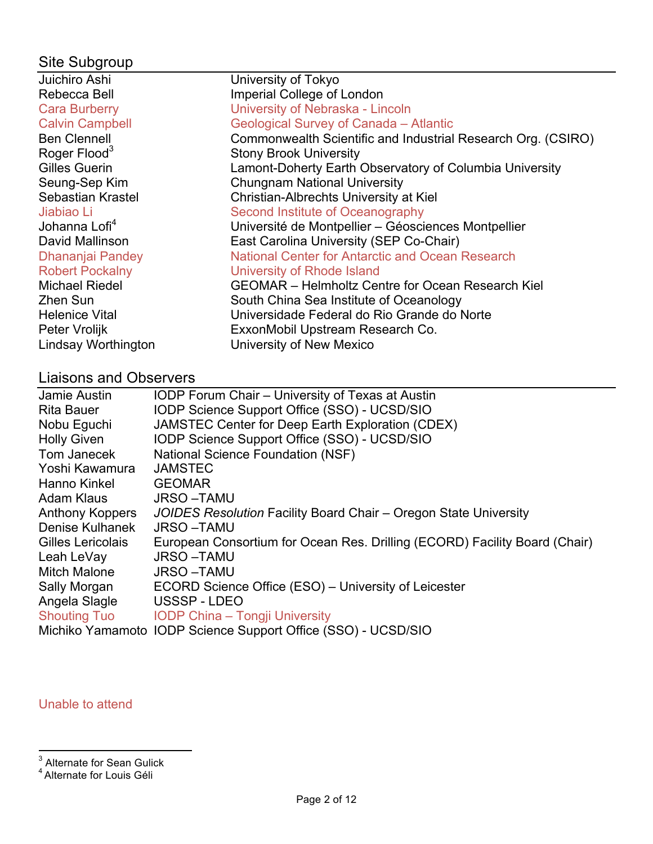# Site Subgroup

| Juichiro Ashi             | University of Tokyo                                          |
|---------------------------|--------------------------------------------------------------|
| Rebecca Bell              | Imperial College of London                                   |
| <b>Cara Burberry</b>      | University of Nebraska - Lincoln                             |
| <b>Calvin Campbell</b>    | Geological Survey of Canada - Atlantic                       |
| <b>Ben Clennell</b>       | Commonwealth Scientific and Industrial Research Org. (CSIRO) |
| Roger Flood <sup>3</sup>  | <b>Stony Brook University</b>                                |
| Gilles Guerin             | Lamont-Doherty Earth Observatory of Columbia University      |
| Seung-Sep Kim             | <b>Chungnam National University</b>                          |
| Sebastian Krastel         | Christian-Albrechts University at Kiel                       |
| Jiabiao Li                | Second Institute of Oceanography                             |
| Johanna Lofi <sup>4</sup> | Université de Montpellier - Géosciences Montpellier          |
| David Mallinson           | East Carolina University (SEP Co-Chair)                      |
| Dhananjai Pandey          | National Center for Antarctic and Ocean Research             |
| <b>Robert Pockalny</b>    | University of Rhode Island                                   |
| <b>Michael Riedel</b>     | <b>GEOMAR</b> – Helmholtz Centre for Ocean Research Kiel     |
| Zhen Sun                  | South China Sea Institute of Oceanology                      |
| <b>Helenice Vital</b>     | Universidade Federal do Rio Grande do Norte                  |
| Peter Vrolijk             | ExxonMobil Upstream Research Co.                             |
| Lindsay Worthington       | University of New Mexico                                     |

# Liaisons and Observers

| Jamie Austin           | <b>IODP Forum Chair - University of Texas at Austin</b>                    |
|------------------------|----------------------------------------------------------------------------|
| <b>Rita Bauer</b>      | <b>IODP Science Support Office (SSO) - UCSD/SIO</b>                        |
| Nobu Eguchi            | <b>JAMSTEC Center for Deep Earth Exploration (CDEX)</b>                    |
| <b>Holly Given</b>     | IODP Science Support Office (SSO) - UCSD/SIO                               |
| Tom Janecek            | <b>National Science Foundation (NSF)</b>                                   |
| Yoshi Kawamura         | <b>JAMSTEC</b>                                                             |
| Hanno Kinkel           | <b>GEOMAR</b>                                                              |
| Adam Klaus             | <b>JRSO-TAMU</b>                                                           |
| <b>Anthony Koppers</b> | JOIDES Resolution Facility Board Chair – Oregon State University           |
| Denise Kulhanek        | <b>JRSO-TAMU</b>                                                           |
| Gilles Lericolais      | European Consortium for Ocean Res. Drilling (ECORD) Facility Board (Chair) |
| Leah LeVay             | <b>JRSO-TAMU</b>                                                           |
| Mitch Malone           | <b>JRSO-TAMU</b>                                                           |
| Sally Morgan           | ECORD Science Office (ESO) - University of Leicester                       |
| Angela Slagle          | USSSP-LDEO                                                                 |
| <b>Shouting Tuo</b>    | <b>IODP China – Tongji University</b>                                      |
|                        | Michiko Yamamoto IODP Science Support Office (SSO) - UCSD/SIO              |

## Unable to attend

 $\frac{3}{3}$ Alternate for Sean Gulick

<sup>&</sup>lt;sup>4</sup> Alternate for Louis Géli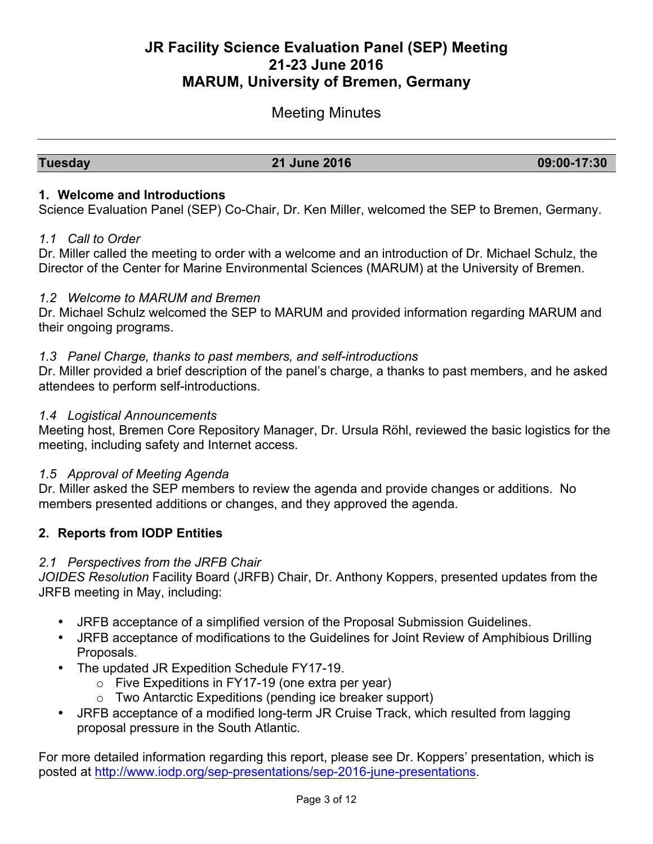# **JR Facility Science Evaluation Panel (SEP) Meeting 21-23 June 2016 MARUM, University of Bremen, Germany**

## Meeting Minutes

#### **Tuesday 21 June 2016 09:00-17:30**

#### **1. Welcome and Introductions**

Science Evaluation Panel (SEP) Co-Chair, Dr. Ken Miller, welcomed the SEP to Bremen, Germany.

#### *1.1 Call to Order*

Dr. Miller called the meeting to order with a welcome and an introduction of Dr. Michael Schulz, the Director of the Center for Marine Environmental Sciences (MARUM) at the University of Bremen.

#### *1.2 Welcome to MARUM and Bremen*

Dr. Michael Schulz welcomed the SEP to MARUM and provided information regarding MARUM and their ongoing programs.

#### *1.3 Panel Charge, thanks to past members, and self-introductions*

Dr. Miller provided a brief description of the panel's charge, a thanks to past members, and he asked attendees to perform self-introductions.

#### *1.4 Logistical Announcements*

Meeting host, Bremen Core Repository Manager, Dr. Ursula Röhl, reviewed the basic logistics for the meeting, including safety and Internet access.

#### *1.5 Approval of Meeting Agenda*

Dr. Miller asked the SEP members to review the agenda and provide changes or additions. No members presented additions or changes, and they approved the agenda.

#### **2. Reports from IODP Entities**

#### *2.1 Perspectives from the JRFB Chair*

*JOIDES Resolution* Facility Board (JRFB) Chair, Dr. Anthony Koppers, presented updates from the JRFB meeting in May, including:

- JRFB acceptance of a simplified version of the Proposal Submission Guidelines.
- JRFB acceptance of modifications to the Guidelines for Joint Review of Amphibious Drilling Proposals.
- The updated JR Expedition Schedule FY17-19.
	- $\circ$  Five Expeditions in FY17-19 (one extra per year)
	- o Two Antarctic Expeditions (pending ice breaker support)
- JRFB acceptance of a modified long-term JR Cruise Track, which resulted from lagging proposal pressure in the South Atlantic.

For more detailed information regarding this report, please see Dr. Koppers' presentation, which is posted at http://www.iodp.org/sep-presentations/sep-2016-june-presentations.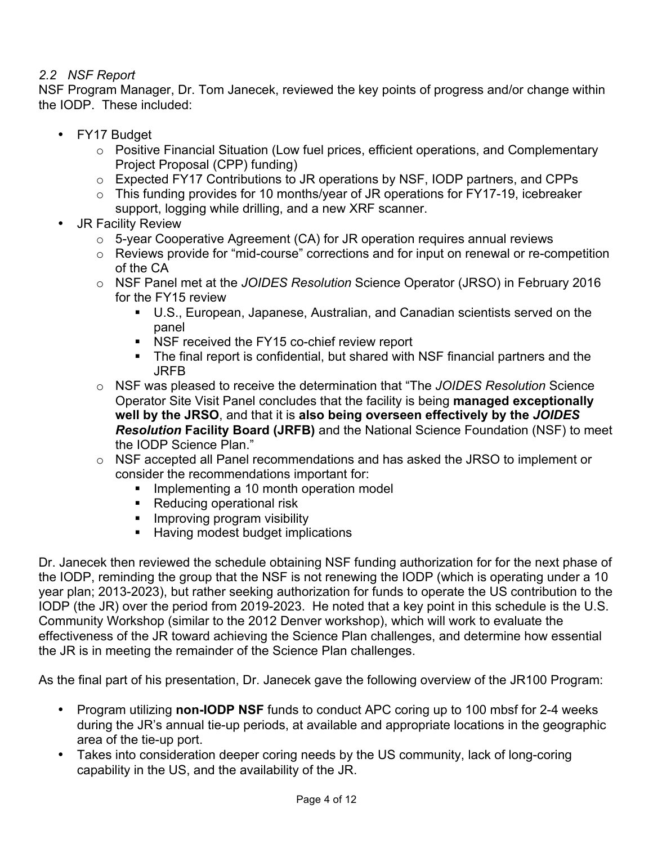### *2.2 NSF Report*

NSF Program Manager, Dr. Tom Janecek, reviewed the key points of progress and/or change within the IODP. These included:

- FY17 Budget
	- o Positive Financial Situation (Low fuel prices, efficient operations, and Complementary Project Proposal (CPP) funding)
	- o Expected FY17 Contributions to JR operations by NSF, IODP partners, and CPPs
	- o This funding provides for 10 months/year of JR operations for FY17-19, icebreaker support, logging while drilling, and a new XRF scanner.
- JR Facility Review
	- o 5-year Cooperative Agreement (CA) for JR operation requires annual reviews
	- o Reviews provide for "mid-course" corrections and for input on renewal or re-competition of the CA
	- o NSF Panel met at the *JOIDES Resolution* Science Operator (JRSO) in February 2016 for the FY15 review
		- U.S., European, Japanese, Australian, and Canadian scientists served on the panel
		- NSF received the FY15 co-chief review report
		- § The final report is confidential, but shared with NSF financial partners and the JRFB
	- o NSF was pleased to receive the determination that "The *JOIDES Resolution* Science Operator Site Visit Panel concludes that the facility is being **managed exceptionally well by the JRSO**, and that it is **also being overseen effectively by the** *JOIDES Resolution* **Facility Board (JRFB)** and the National Science Foundation (NSF) to meet the IODP Science Plan."
	- $\circ$  NSF accepted all Panel recommendations and has asked the JRSO to implement or consider the recommendations important for:
		- Implementing a 10 month operation model
		- Reducing operational risk
		- Improving program visibility
		- Having modest budget implications

Dr. Janecek then reviewed the schedule obtaining NSF funding authorization for for the next phase of the IODP, reminding the group that the NSF is not renewing the IODP (which is operating under a 10 year plan; 2013-2023), but rather seeking authorization for funds to operate the US contribution to the IODP (the JR) over the period from 2019-2023. He noted that a key point in this schedule is the U.S. Community Workshop (similar to the 2012 Denver workshop), which will work to evaluate the effectiveness of the JR toward achieving the Science Plan challenges, and determine how essential the JR is in meeting the remainder of the Science Plan challenges.

As the final part of his presentation, Dr. Janecek gave the following overview of the JR100 Program:

- Program utilizing **non-IODP NSF** funds to conduct APC coring up to 100 mbsf for 2-4 weeks during the JR's annual tie-up periods, at available and appropriate locations in the geographic area of the tie-up port.
- Takes into consideration deeper coring needs by the US community, lack of long-coring capability in the US, and the availability of the JR.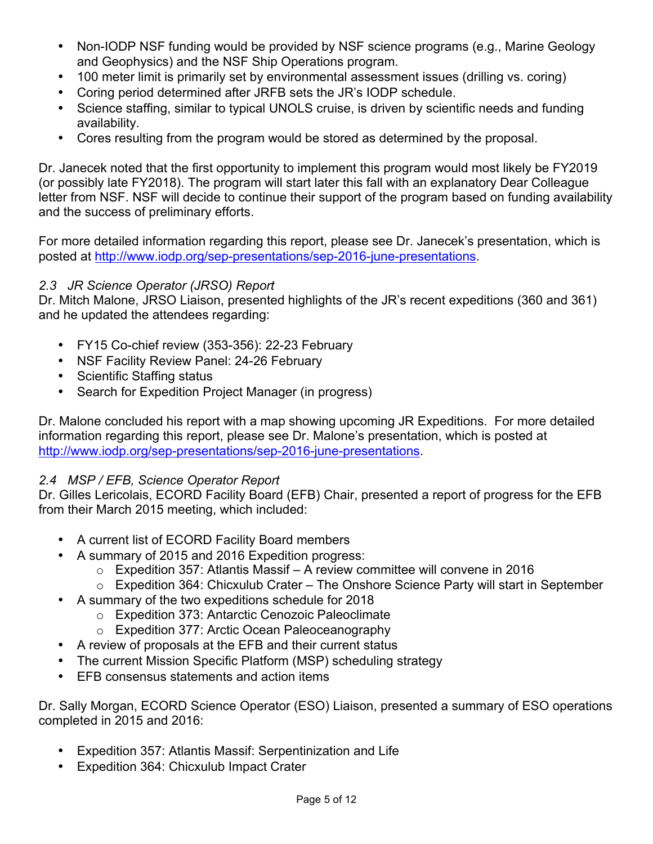- Non-IODP NSF funding would be provided by NSF science programs (e.g., Marine Geology and Geophysics) and the NSF Ship Operations program.
- 100 meter limit is primarily set by environmental assessment issues (drilling vs. coring)
- Coring period determined after JRFB sets the JR's IODP schedule.
- Science staffing, similar to typical UNOLS cruise, is driven by scientific needs and funding availability.
- Cores resulting from the program would be stored as determined by the proposal.

Dr. Janecek noted that the first opportunity to implement this program would most likely be FY2019 (or possibly late FY2018). The program will start later this fall with an explanatory Dear Colleague letter from NSF. NSF will decide to continue their support of the program based on funding availability and the success of preliminary efforts.

For more detailed information regarding this report, please see Dr. Janecek's presentation, which is posted at http://www.iodp.org/sep-presentations/sep-2016-june-presentations.

### *2.3 JR Science Operator (JRSO) Report*

Dr. Mitch Malone, JRSO Liaison, presented highlights of the JR's recent expeditions (360 and 361) and he updated the attendees regarding:

- FY15 Co-chief review (353-356): 22-23 February
- NSF Facility Review Panel: 24-26 February
- Scientific Staffing status
- Search for Expedition Project Manager (in progress)

Dr. Malone concluded his report with a map showing upcoming JR Expeditions. For more detailed information regarding this report, please see Dr. Malone's presentation, which is posted at http://www.iodp.org/sep-presentations/sep-2016-june-presentations.

### *2.4 MSP / EFB, Science Operator Report*

Dr. Gilles Lericolais, ECORD Facility Board (EFB) Chair, presented a report of progress for the EFB from their March 2015 meeting, which included:

- A current list of ECORD Facility Board members
- A summary of 2015 and 2016 Expedition progress:
	- $\circ$  Expedition 357: Atlantis Massif A review committee will convene in 2016
	- o Expedition 364: Chicxulub Crater The Onshore Science Party will start in September
- A summary of the two expeditions schedule for 2018
	- o Expedition 373: Antarctic Cenozoic Paleoclimate
	- o Expedition 377: Arctic Ocean Paleoceanography
- A review of proposals at the EFB and their current status
- The current Mission Specific Platform (MSP) scheduling strategy
- EFB consensus statements and action items

Dr. Sally Morgan, ECORD Science Operator (ESO) Liaison, presented a summary of ESO operations completed in 2015 and 2016:

- Expedition 357: Atlantis Massif: Serpentinization and Life
- Expedition 364: Chicxulub Impact Crater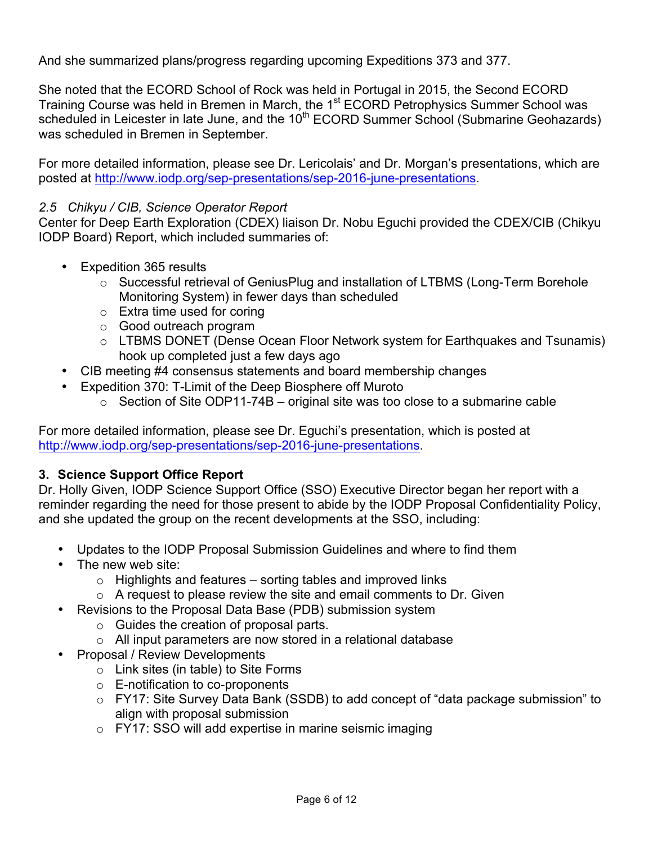And she summarized plans/progress regarding upcoming Expeditions 373 and 377.

She noted that the ECORD School of Rock was held in Portugal in 2015, the Second ECORD Training Course was held in Bremen in March, the 1<sup>st</sup> ECORD Petrophysics Summer School was scheduled in Leicester in late June, and the  $10<sup>th</sup>$  ECORD Summer School (Submarine Geohazards) was scheduled in Bremen in September.

For more detailed information, please see Dr. Lericolais' and Dr. Morgan's presentations, which are posted at http://www.iodp.org/sep-presentations/sep-2016-june-presentations.

#### *2.5 Chikyu / CIB, Science Operator Report*

Center for Deep Earth Exploration (CDEX) liaison Dr. Nobu Eguchi provided the CDEX/CIB (Chikyu IODP Board) Report, which included summaries of:

- Expedition 365 results
	- o Successful retrieval of GeniusPlug and installation of LTBMS (Long-Term Borehole Monitoring System) in fewer days than scheduled
	- o Extra time used for coring
	- o Good outreach program
	- o LTBMS DONET (Dense Ocean Floor Network system for Earthquakes and Tsunamis) hook up completed just a few days ago
- CIB meeting #4 consensus statements and board membership changes
- Expedition 370: T-Limit of the Deep Biosphere off Muroto
	- $\circ$  Section of Site ODP11-74B original site was too close to a submarine cable

For more detailed information, please see Dr. Eguchi's presentation, which is posted at http://www.iodp.org/sep-presentations/sep-2016-june-presentations.

#### **3. Science Support Office Report**

Dr. Holly Given, IODP Science Support Office (SSO) Executive Director began her report with a reminder regarding the need for those present to abide by the IODP Proposal Confidentiality Policy, and she updated the group on the recent developments at the SSO, including:

- Updates to the IODP Proposal Submission Guidelines and where to find them
- The new web site:
	- $\circ$  Highlights and features sorting tables and improved links
	- $\circ$  A request to please review the site and email comments to Dr. Given
- Revisions to the Proposal Data Base (PDB) submission system
	- o Guides the creation of proposal parts.
	- o All input parameters are now stored in a relational database
- Proposal / Review Developments
	- o Link sites (in table) to Site Forms
	- o E-notification to co-proponents
	- o FY17: Site Survey Data Bank (SSDB) to add concept of "data package submission" to align with proposal submission
	- o FY17: SSO will add expertise in marine seismic imaging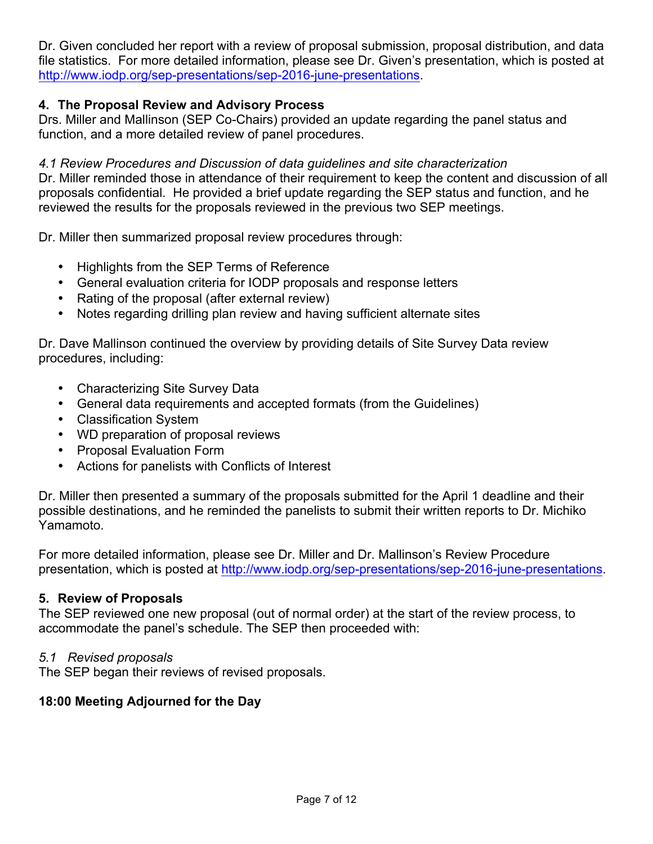Dr. Given concluded her report with a review of proposal submission, proposal distribution, and data file statistics. For more detailed information, please see Dr. Given's presentation, which is posted at http://www.iodp.org/sep-presentations/sep-2016-june-presentations.

#### **4. The Proposal Review and Advisory Process**

Drs. Miller and Mallinson (SEP Co-Chairs) provided an update regarding the panel status and function, and a more detailed review of panel procedures.

#### *4.1 Review Procedures and Discussion of data guidelines and site characterization*

Dr. Miller reminded those in attendance of their requirement to keep the content and discussion of all proposals confidential. He provided a brief update regarding the SEP status and function, and he reviewed the results for the proposals reviewed in the previous two SEP meetings.

Dr. Miller then summarized proposal review procedures through:

- Highlights from the SEP Terms of Reference
- General evaluation criteria for IODP proposals and response letters
- Rating of the proposal (after external review)
- Notes regarding drilling plan review and having sufficient alternate sites

Dr. Dave Mallinson continued the overview by providing details of Site Survey Data review procedures, including:

- Characterizing Site Survey Data
- General data requirements and accepted formats (from the Guidelines)
- Classification System
- WD preparation of proposal reviews
- Proposal Evaluation Form
- Actions for panelists with Conflicts of Interest

Dr. Miller then presented a summary of the proposals submitted for the April 1 deadline and their possible destinations, and he reminded the panelists to submit their written reports to Dr. Michiko Yamamoto.

For more detailed information, please see Dr. Miller and Dr. Mallinson's Review Procedure presentation, which is posted at http://www.iodp.org/sep-presentations/sep-2016-june-presentations.

#### **5. Review of Proposals**

The SEP reviewed one new proposal (out of normal order) at the start of the review process, to accommodate the panel's schedule. The SEP then proceeded with:

#### *5.1 Revised proposals*

The SEP began their reviews of revised proposals.

#### **18:00 Meeting Adjourned for the Day**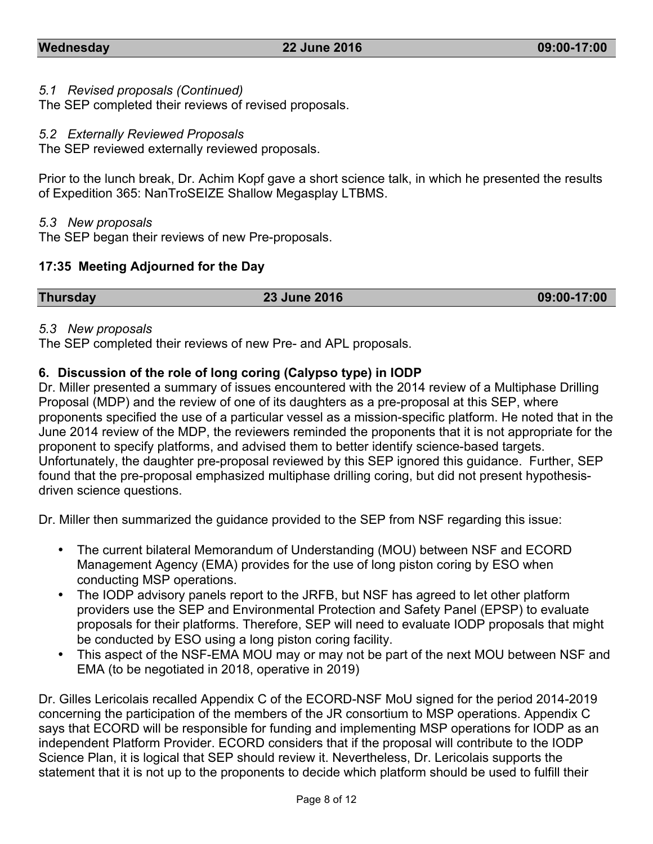#### *5.1 Revised proposals (Continued)*

The SEP completed their reviews of revised proposals.

#### *5.2 Externally Reviewed Proposals*

The SEP reviewed externally reviewed proposals.

Prior to the lunch break, Dr. Achim Kopf gave a short science talk, in which he presented the results of Expedition 365: NanTroSEIZE Shallow Megasplay LTBMS.

#### *5.3 New proposals*

The SEP began their reviews of new Pre-proposals.

#### **17:35 Meeting Adjourned for the Day**

| <b>Thursday</b> | 23 June 2016 | 09:00-17:00 |
|-----------------|--------------|-------------|
|                 |              |             |

#### *5.3 New proposals*

The SEP completed their reviews of new Pre- and APL proposals.

#### **6. Discussion of the role of long coring (Calypso type) in IODP**

Dr. Miller presented a summary of issues encountered with the 2014 review of a Multiphase Drilling Proposal (MDP) and the review of one of its daughters as a pre-proposal at this SEP, where proponents specified the use of a particular vessel as a mission-specific platform. He noted that in the June 2014 review of the MDP, the reviewers reminded the proponents that it is not appropriate for the proponent to specify platforms, and advised them to better identify science-based targets. Unfortunately, the daughter pre-proposal reviewed by this SEP ignored this guidance. Further, SEP found that the pre-proposal emphasized multiphase drilling coring, but did not present hypothesisdriven science questions.

Dr. Miller then summarized the guidance provided to the SEP from NSF regarding this issue:

- The current bilateral Memorandum of Understanding (MOU) between NSF and ECORD Management Agency (EMA) provides for the use of long piston coring by ESO when conducting MSP operations.
- The IODP advisory panels report to the JRFB, but NSF has agreed to let other platform providers use the SEP and Environmental Protection and Safety Panel (EPSP) to evaluate proposals for their platforms. Therefore, SEP will need to evaluate IODP proposals that might be conducted by ESO using a long piston coring facility.
- This aspect of the NSF-EMA MOU may or may not be part of the next MOU between NSF and EMA (to be negotiated in 2018, operative in 2019)

Dr. Gilles Lericolais recalled Appendix C of the ECORD-NSF MoU signed for the period 2014-2019 concerning the participation of the members of the JR consortium to MSP operations. Appendix C says that ECORD will be responsible for funding and implementing MSP operations for IODP as an independent Platform Provider. ECORD considers that if the proposal will contribute to the IODP Science Plan, it is logical that SEP should review it. Nevertheless, Dr. Lericolais supports the statement that it is not up to the proponents to decide which platform should be used to fulfill their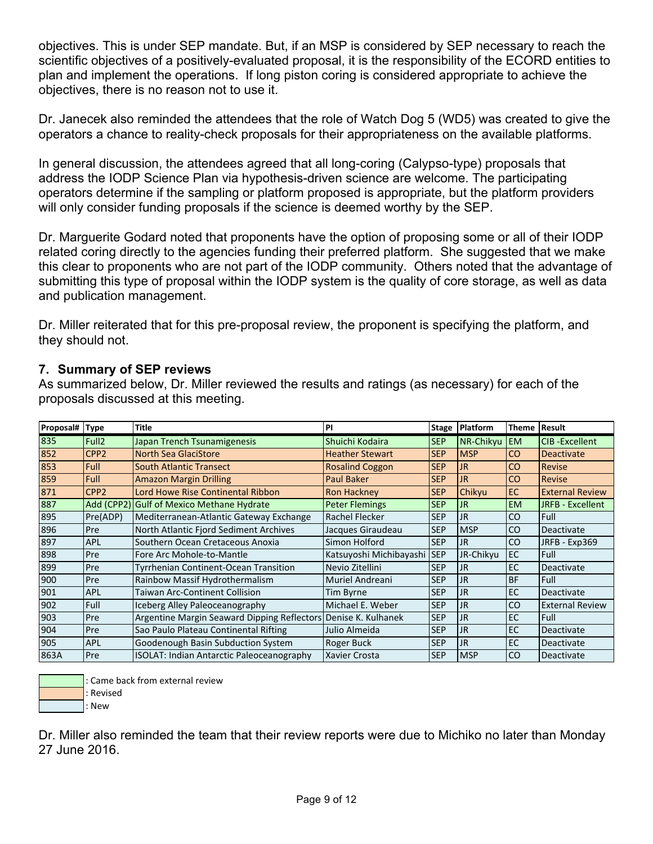objectives. This is under SEP mandate. But, if an MSP is considered by SEP necessary to reach the scientific objectives of a positively-evaluated proposal, it is the responsibility of the ECORD entities to plan and implement the operations. If long piston coring is considered appropriate to achieve the objectives, there is no reason not to use it.

Dr. Janecek also reminded the attendees that the role of Watch Dog 5 (WD5) was created to give the operators a chance to reality-check proposals for their appropriateness on the available platforms.

In general discussion, the attendees agreed that all long-coring (Calypso-type) proposals that address the IODP Science Plan via hypothesis-driven science are welcome. The participating operators determine if the sampling or platform proposed is appropriate, but the platform providers will only consider funding proposals if the science is deemed worthy by the SEP.

Dr. Marguerite Godard noted that proponents have the option of proposing some or all of their IODP related coring directly to the agencies funding their preferred platform. She suggested that we make this clear to proponents who are not part of the IODP community. Others noted that the advantage of submitting this type of proposal within the IODP system is the quality of core storage, as well as data and publication management.

Dr. Miller reiterated that for this pre-proposal review, the proponent is specifying the platform, and they should not.

#### **7. Summary of SEP reviews**

As summarized below, Dr. Miller reviewed the results and ratings (as necessary) for each of the proposals discussed at this meeting.

| Proposal#   Type |                   | Title                                                          | PI                      | Stage      | Platform   | <b>Theme</b>  | <b>Result</b>          |
|------------------|-------------------|----------------------------------------------------------------|-------------------------|------------|------------|---------------|------------------------|
| 835              | Full <sub>2</sub> | Japan Trench Tsunamigenesis                                    | Shuichi Kodaira         | <b>SEP</b> | NR-Chikyu  | <b>EM</b>     | <b>CIB-Excellent</b>   |
| 852              | CPP <sub>2</sub>  | <b>North Sea GlaciStore</b>                                    | <b>Heather Stewart</b>  | <b>SEP</b> | <b>MSP</b> | CO            | <b>Deactivate</b>      |
| 853              | <b>Full</b>       | <b>South Atlantic Transect</b>                                 | <b>Rosalind Coggon</b>  | <b>SEP</b> | <b>JR</b>  | <b>CO</b>     | <b>Revise</b>          |
| 859              | <b>Full</b>       | <b>Amazon Margin Drilling</b>                                  | <b>Paul Baker</b>       | <b>SEP</b> | <b>JR</b>  | <b>CO</b>     | <b>Revise</b>          |
| 871              | CPP <sub>2</sub>  | Lord Howe Rise Continental Ribbon                              | <b>Ron Hackney</b>      | <b>SEP</b> | Chikyu     | EC.           | <b>External Review</b> |
| 887              |                   | Add (CPP2) Gulf of Mexico Methane Hydrate                      | <b>Peter Flemings</b>   | <b>SEP</b> | <b>JR</b>  | <b>EM</b>     | JRFB - Excellent       |
| 895              | Pre(ADP)          | Mediterranean-Atlantic Gateway Exchange                        | Rachel Flecker          | <b>SEP</b> | <b>JR</b>  | <sub>co</sub> | <b>Full</b>            |
| 896              | Pre               | North Atlantic Fjord Sediment Archives                         | Jacques Giraudeau       | <b>SEP</b> | <b>MSP</b> | CO            | Deactivate             |
| 897              | <b>APL</b>        | Southern Ocean Cretaceous Anoxia                               | Simon Holford           | <b>SEP</b> | JR         | CO            | JRFB - Exp369          |
| 898              | Pre               | Fore Arc Mohole-to-Mantle                                      | Katsuyoshi Michibayashi | <b>SEP</b> | JR-Chikyu  | EC            | Full                   |
| 899              | Pre               | Tyrrhenian Continent-Ocean Transition                          | Nevio Zitellini         | <b>SEP</b> | <b>JR</b>  | <b>EC</b>     | Deactivate             |
| 900              | Pre               | Rainbow Massif Hydrothermalism                                 | Muriel Andreani         | <b>SEP</b> | <b>JR</b>  | <b>BF</b>     | Full                   |
| 901              | <b>APL</b>        | Taiwan Arc-Continent Collision                                 | Tim Byrne               | <b>SEP</b> | <b>JR</b>  | EC            | Deactivate             |
| 902              | Full              | Iceberg Alley Paleoceanography                                 | Michael E. Weber        | <b>SEP</b> | <b>JR</b>  | CO            | <b>External Review</b> |
| 903              | Pre               | Argentine Margin Seaward Dipping Reflectors Denise K. Kulhanek |                         | <b>SEP</b> | <b>JR</b>  | EC            | Full                   |
| 1904             | Pre               | Sao Paulo Plateau Continental Rifting                          | Julio Almeida           | <b>SEP</b> | <b>JR</b>  | EC            | Deactivate             |
| 905              | <b>APL</b>        | Goodenough Basin Subduction System                             | Roger Buck              | <b>SEP</b> | <b>JR</b>  | EC            | Deactivate             |
| 863A             | Pre               | <b>ISOLAT: Indian Antarctic Paleoceanography</b>               | Xavier Crosta           | <b>SEP</b> | <b>MSP</b> | <sub>co</sub> | Deactivate             |

: Came back from external review

:,Revised :,New

Dr. Miller also reminded the team that their review reports were due to Michiko no later than Monday 27 June 2016.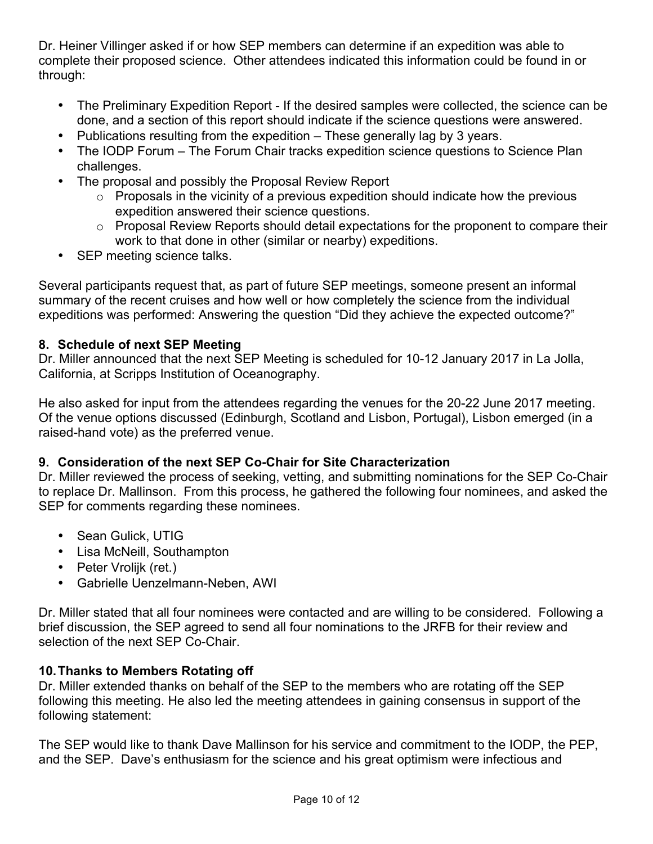Dr. Heiner Villinger asked if or how SEP members can determine if an expedition was able to complete their proposed science. Other attendees indicated this information could be found in or through:

- The Preliminary Expedition Report If the desired samples were collected, the science can be done, and a section of this report should indicate if the science questions were answered.
- Publications resulting from the expedition These generally lag by 3 years.
- The IODP Forum The Forum Chair tracks expedition science questions to Science Plan challenges.
- The proposal and possibly the Proposal Review Report
	- $\circ$  Proposals in the vicinity of a previous expedition should indicate how the previous expedition answered their science questions.
	- $\circ$  Proposal Review Reports should detail expectations for the proponent to compare their work to that done in other (similar or nearby) expeditions.
- SEP meeting science talks.

Several participants request that, as part of future SEP meetings, someone present an informal summary of the recent cruises and how well or how completely the science from the individual expeditions was performed: Answering the question "Did they achieve the expected outcome?"

#### **8. Schedule of next SEP Meeting**

Dr. Miller announced that the next SEP Meeting is scheduled for 10-12 January 2017 in La Jolla, California, at Scripps Institution of Oceanography.

He also asked for input from the attendees regarding the venues for the 20-22 June 2017 meeting. Of the venue options discussed (Edinburgh, Scotland and Lisbon, Portugal), Lisbon emerged (in a raised-hand vote) as the preferred venue.

### **9. Consideration of the next SEP Co-Chair for Site Characterization**

Dr. Miller reviewed the process of seeking, vetting, and submitting nominations for the SEP Co-Chair to replace Dr. Mallinson. From this process, he gathered the following four nominees, and asked the SEP for comments regarding these nominees.

- Sean Gulick, UTIG
- Lisa McNeill, Southampton
- Peter Vrolijk (ret.)
- Gabrielle Uenzelmann-Neben, AWI

Dr. Miller stated that all four nominees were contacted and are willing to be considered. Following a brief discussion, the SEP agreed to send all four nominations to the JRFB for their review and selection of the next SEP Co-Chair.

### **10.Thanks to Members Rotating off**

Dr. Miller extended thanks on behalf of the SEP to the members who are rotating off the SEP following this meeting. He also led the meeting attendees in gaining consensus in support of the following statement:

The SEP would like to thank Dave Mallinson for his service and commitment to the IODP, the PEP, and the SEP. Dave's enthusiasm for the science and his great optimism were infectious and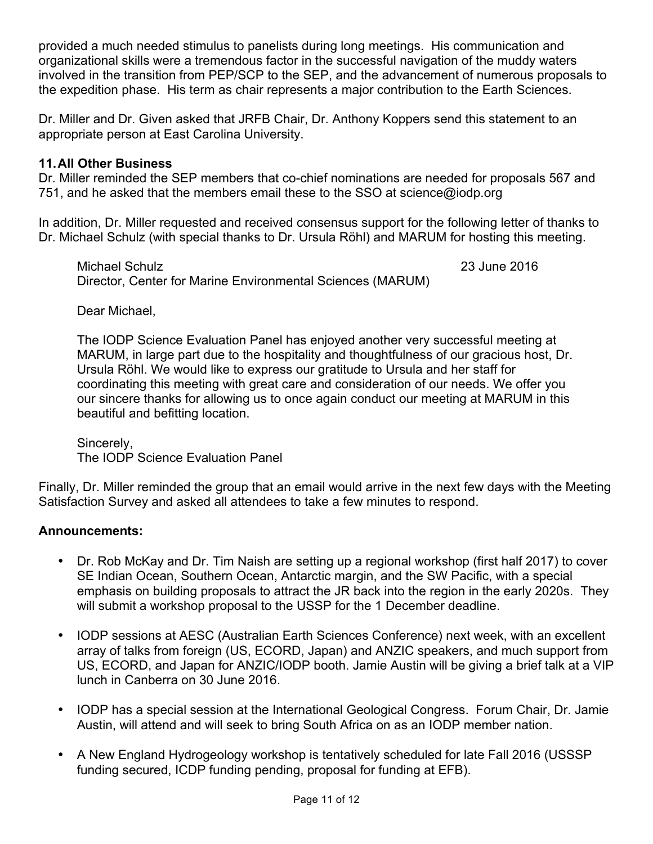provided a much needed stimulus to panelists during long meetings. His communication and organizational skills were a tremendous factor in the successful navigation of the muddy waters involved in the transition from PEP/SCP to the SEP, and the advancement of numerous proposals to the expedition phase. His term as chair represents a major contribution to the Earth Sciences.

Dr. Miller and Dr. Given asked that JRFB Chair, Dr. Anthony Koppers send this statement to an appropriate person at East Carolina University.

#### **11.All Other Business**

Dr. Miller reminded the SEP members that co-chief nominations are needed for proposals 567 and 751, and he asked that the members email these to the SSO at science@iodp.org

In addition, Dr. Miller requested and received consensus support for the following letter of thanks to Dr. Michael Schulz (with special thanks to Dr. Ursula Röhl) and MARUM for hosting this meeting.

Michael Schulz 23 June 2016 Director, Center for Marine Environmental Sciences (MARUM)

Dear Michael,

The IODP Science Evaluation Panel has enjoyed another very successful meeting at MARUM, in large part due to the hospitality and thoughtfulness of our gracious host, Dr. Ursula Röhl. We would like to express our gratitude to Ursula and her staff for coordinating this meeting with great care and consideration of our needs. We offer you our sincere thanks for allowing us to once again conduct our meeting at MARUM in this beautiful and befitting location.

Sincerely, The IODP Science Evaluation Panel

Finally, Dr. Miller reminded the group that an email would arrive in the next few days with the Meeting Satisfaction Survey and asked all attendees to take a few minutes to respond.

#### **Announcements:**

- Dr. Rob McKay and Dr. Tim Naish are setting up a regional workshop (first half 2017) to cover SE Indian Ocean, Southern Ocean, Antarctic margin, and the SW Pacific, with a special emphasis on building proposals to attract the JR back into the region in the early 2020s. They will submit a workshop proposal to the USSP for the 1 December deadline.
- IODP sessions at AESC (Australian Earth Sciences Conference) next week, with an excellent array of talks from foreign (US, ECORD, Japan) and ANZIC speakers, and much support from US, ECORD, and Japan for ANZIC/IODP booth. Jamie Austin will be giving a brief talk at a VIP lunch in Canberra on 30 June 2016.
- IODP has a special session at the International Geological Congress. Forum Chair, Dr. Jamie Austin, will attend and will seek to bring South Africa on as an IODP member nation.
- A New England Hydrogeology workshop is tentatively scheduled for late Fall 2016 (USSSP funding secured, ICDP funding pending, proposal for funding at EFB).